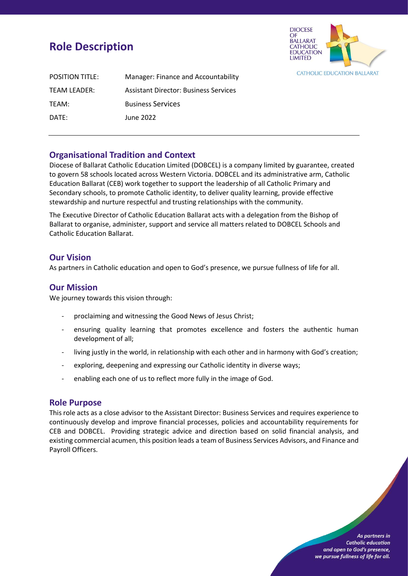# **Role Description**



| <b>POSITION TITLE:</b> | Manager: Finance and Accountability          |
|------------------------|----------------------------------------------|
| <b>TEAM LEADER:</b>    | <b>Assistant Director: Business Services</b> |
| TEAM:                  | <b>Business Services</b>                     |
| DATE:                  | June 2022                                    |

# **Organisational Tradition and Context**

Diocese of Ballarat Catholic Education Limited (DOBCEL) is a company limited by guarantee, created to govern 58 schools located across Western Victoria. DOBCEL and its administrative arm, Catholic Education Ballarat (CEB) work together to support the leadership of all Catholic Primary and Secondary schools, to promote Catholic identity, to deliver quality learning, provide effective stewardship and nurture respectful and trusting relationships with the community.

The Executive Director of Catholic Education Ballarat acts with a delegation from the Bishop of Ballarat to organise, administer, support and service all matters related to DOBCEL Schools and Catholic Education Ballarat.

## **Our Vision**

As partners in Catholic education and open to God's presence, we pursue fullness of life for all.

## **Our Mission**

We journey towards this vision through:

- proclaiming and witnessing the Good News of Jesus Christ;
- ensuring quality learning that promotes excellence and fosters the authentic human development of all;
- living justly in the world, in relationship with each other and in harmony with God's creation;
- exploring, deepening and expressing our Catholic identity in diverse ways;
- enabling each one of us to reflect more fully in the image of God.

## **Role Purpose**

This role acts as a close advisor to the Assistant Director: Business Services and requires experience to continuously develop and improve financial processes, policies and accountability requirements for CEB and DOBCEL. Providing strategic advice and direction based on solid financial analysis, and existing commercial acumen, this position leads a team of Business Services Advisors, and Finance and Payroll Officers.

> As partners in **Catholic education** and open to God's presence, we pursue fullness of life for all.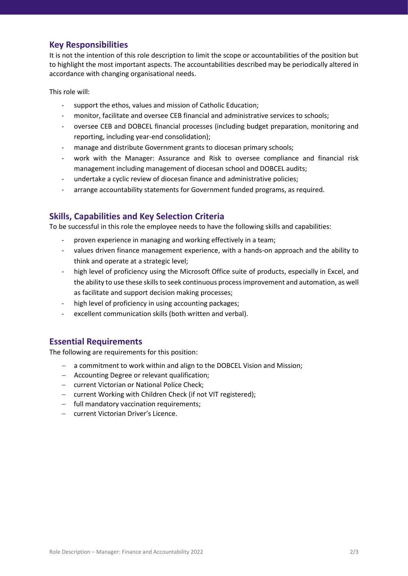# **Key Responsibilities**

It is not the intention of this role description to limit the scope or accountabilities of the position but to highlight the most important aspects. The accountabilities described may be periodically altered in accordance with changing organisational needs.

This role will:

- support the ethos, values and mission of Catholic Education;
- monitor, facilitate and oversee CEB financial and administrative services to schools;
- oversee CEB and DOBCEL financial processes (including budget preparation, monitoring and reporting, including year-end consolidation);
- manage and distribute Government grants to diocesan primary schools;
- work with the Manager: Assurance and Risk to oversee compliance and financial risk management including management of diocesan school and DOBCEL audits;
- undertake a cyclic review of diocesan finance and administrative policies;
- arrange accountability statements for Government funded programs, as required.

# **Skills, Capabilities and Key Selection Criteria**

To be successful in this role the employee needs to have the following skills and capabilities:

- proven experience in managing and working effectively in a team;
- values driven finance management experience, with a hands-on approach and the ability to think and operate at a strategic level;
- high level of proficiency using the Microsoft Office suite of products, especially in Excel, and the ability to use these skills to seek continuous process improvement and automation, as well as facilitate and support decision making processes;
- high level of proficiency in using accounting packages;
- excellent communication skills (both written and verbal).

# **Essential Requirements**

The following are requirements for this position:

- − a commitment to work within and align to the DOBCEL Vision and Mission;
- − Accounting Degree or relevant qualification;
- − current Victorian or National Police Check;
- − current Working with Children Check (if not VIT registered);
- − full mandatory vaccination requirements;
- − current Victorian Driver's Licence.